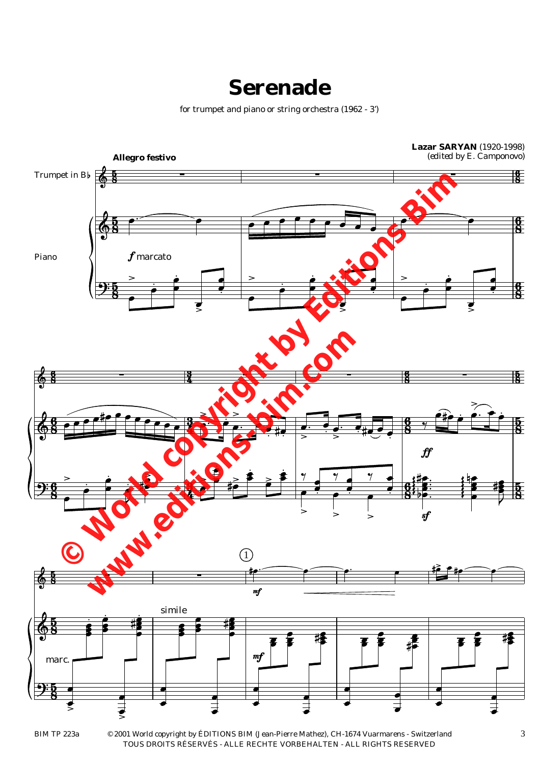## **Serenade**

for trumpet and piano or string orchestra (1962 - 3')



BIM TP 223a © 2001 World copyright by ÉDITIONS BIM (Jean-Pierre Mathez), CH-1674 Vuarmarens - Switzerland TOUS DROITS RÉSERVÉS - ALLE RECHTE VORBEHALTEN - ALL RIGHTS RESERVED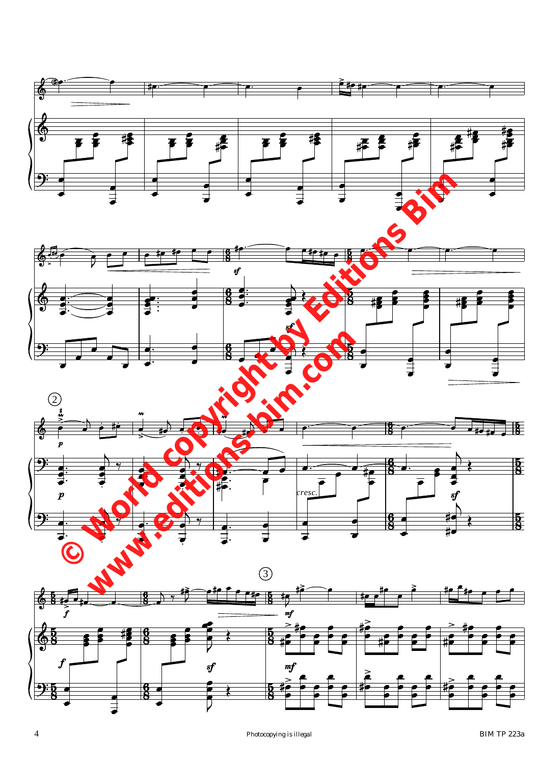



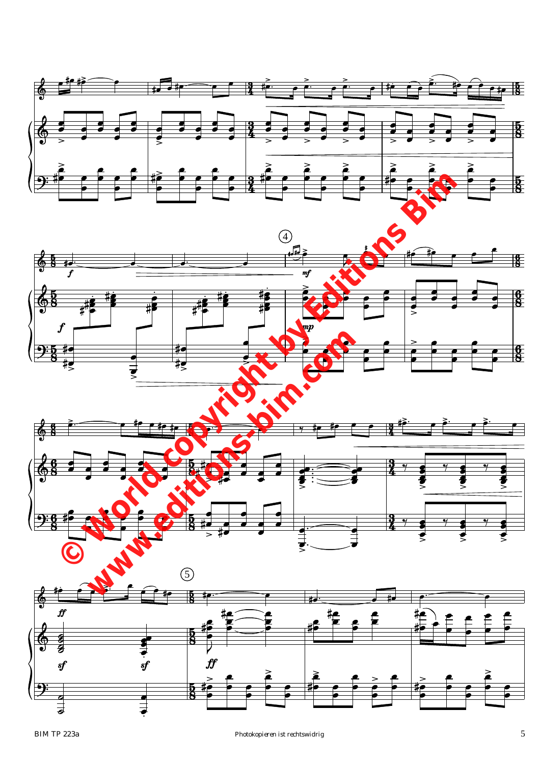





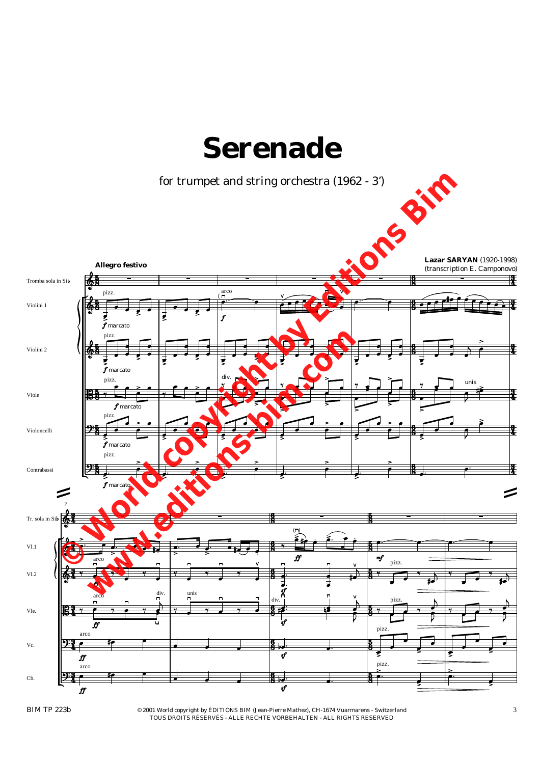

BIM TP 223b

© 2001 World copyright by ÉDITIONS BIM (Jean-Pierre Mathez), CH-1674 Vuarmarens - Switzerland TOUS DROITS RÉSERVÉS - ALLE RECHTE VORBEHALTEN - ALL RIGHTS RESERVED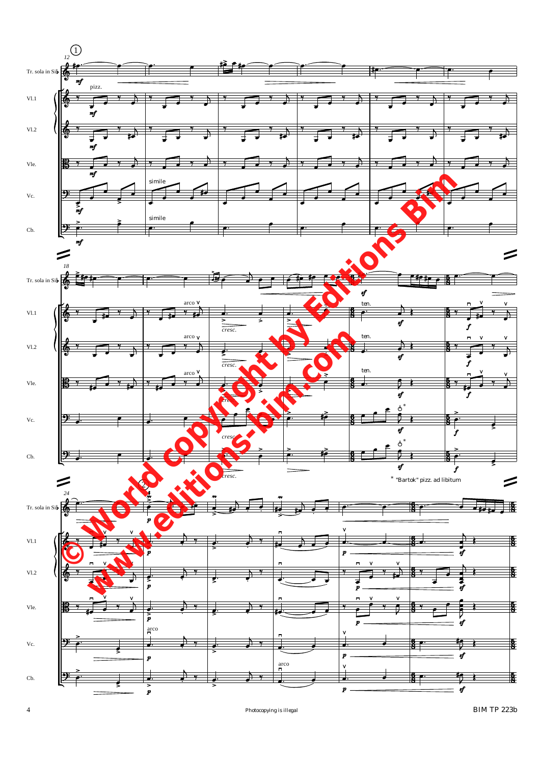